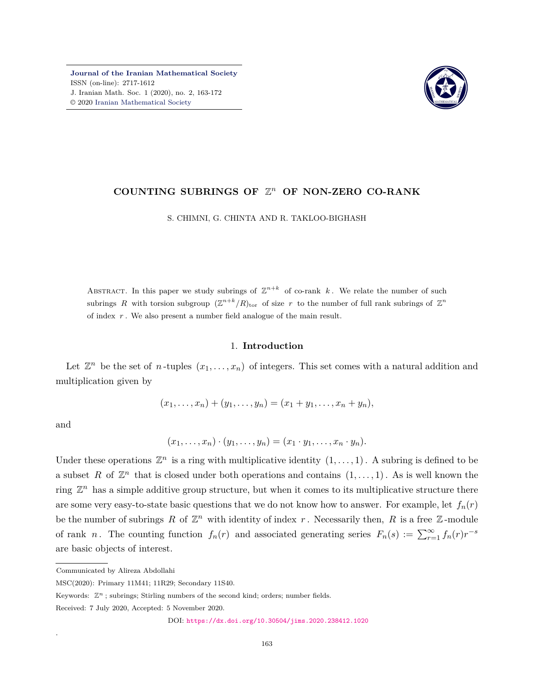**[Journal of the Iranian Mathematical Society](http://jims.iranjournals.ir)** ISSN (on-line): 2717-1612 J. Iranian Math. Soc. 1 (2020), no. 2, 163-172 © 2020 [Iranian Mathematical Society](http://en.ims.ir/)



# **COUNTING SUBRINGS OF** Z *<sup>n</sup>* **OF NON-ZERO CO-RANK**

S. CHIMNI, G. CHINTA AND R. TAKLOO-BIGHASH

ABSTRACT. In this paper we study subrings of  $\mathbb{Z}^{n+k}$  of co-rank k. We relate the number of such subrings R with torsion subgroup  $(\mathbb{Z}^{n+k}/R)_{\text{tor}}$  of size r to the number of full rank subrings of  $\mathbb{Z}^n$ of index *r* . We also present a number field analogue of the main result.

## 1. **Introduction**

Let  $\mathbb{Z}^n$  be the set of *n*-tuples  $(x_1, \ldots, x_n)$  of integers. This set comes with a natural addition and multiplication given by

$$
(x_1, \ldots, x_n) + (y_1, \ldots, y_n) = (x_1 + y_1, \ldots, x_n + y_n),
$$

and

.

$$
(x_1,\ldots,x_n)\cdot(y_1,\ldots,y_n)=(x_1\cdot y_1,\ldots,x_n\cdot y_n).
$$

Under these operations  $\mathbb{Z}^n$  is a ring with multiplicative identity  $(1,\ldots,1)$ . A subring is defined to be a subset R of  $\mathbb{Z}^n$  that is closed under both operations and contains  $(1,\ldots,1)$ . As is well known the ring  $\mathbb{Z}^n$  has a simple additive group structure, but when it comes to its multiplicative structure there are some very easy-to-state basic questions that we do not know how to answer. For example, let  $f_n(r)$ be the number of subrings  $R$  of  $\mathbb{Z}^n$  with identity of index  $r$ . Necessarily then,  $R$  is a free  $\mathbb{Z}$ -module of rank *n*. The counting function  $f_n(r)$  and associated generating series  $F_n(s) := \sum_{r=1}^{\infty} f_n(r)r^{-s}$ are basic objects of interest.

Communicated by Alireza Abdollahi

MSC(2020): Primary 11M41; 11R29; Secondary 11S40.

Keywords:  $\mathbb{Z}^n$ ; subrings; Stirling numbers of the second kind; orders; number fields.

Received: 7 July 2020, Accepted: 5 November 2020.

DOI: <https://dx.doi.org/10.30504/jims.2020.238412.1020>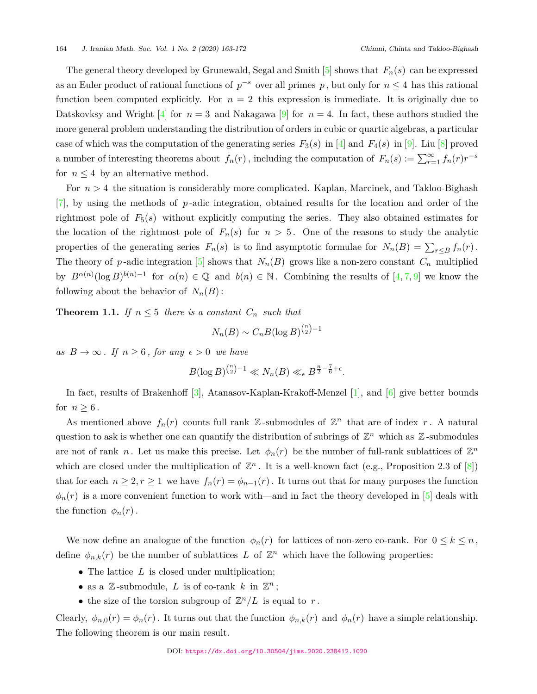The general theory developed by Grunewald, Segal and Smith  $[5]$  shows that  $F_n(s)$  can be expressed as an Euler product of rational functions of *p <sup>−</sup><sup>s</sup>* over all primes *p* , but only for *n ≤* 4 has this rational function been computed explicitly. For  $n = 2$  this expression is immediate. It is originally due to Datskovksy and Wright [\[4\]](#page-9-1) for  $n=3$  and Nakagawa [\[9\]](#page-9-2) for  $n=4$ . In fact, these authors studied the more general problem understanding the distribution of orders in cubic or quartic algebras, a particular case of which was the computation of the generating series  $F_3(s)$  in [[4](#page-9-1)] and  $F_4(s)$  in [\[9\]](#page-9-2). Liu [\[8\]](#page-9-3) proved a number of interesting theorems about  $f_n(r)$ , including the computation of  $F_n(s) := \sum_{r=1}^{\infty} f_n(r)r^{-s}$ for  $n \leq 4$  by an alternative method.

For *n >* 4 the situation is considerably more complicated. Kaplan, Marcinek, and Takloo-Bighash [[7\]](#page-9-4), by using the methods of *p* -adic integration, obtained results for the location and order of the rightmost pole of  $F_5(s)$  without explicitly computing the series. They also obtained estimates for the location of the rightmost pole of  $F_n(s)$  for  $n > 5$ . One of the reasons to study the analytic properties of the generating series  $F_n(s)$  is to find asymptotic formulae for  $N_n(B) = \sum_{r \le B} f_n(r)$ . The theory of *p*-adic integration [\[5\]](#page-9-0) shows that  $N_n(B)$  grows like a non-zero constant  $C_n$  multiplied by  $B^{\alpha(n)}(\log B)^{b(n)-1}$  for  $\alpha(n) \in \mathbb{Q}$  and  $b(n) \in \mathbb{N}$ . Combining the results of [[4](#page-9-1),[7,](#page-9-4)[9\]](#page-9-2) we know the following about the behavior of  $N_n(B)$ :

**Theorem 1.1.** *If*  $n \leq 5$  *there is a constant*  $C_n$  *such that* 

$$
N_n(B) \sim C_n B(\log B)^{\binom{n}{2}-1}
$$

*as*  $B \to \infty$ *. If*  $n \geq 6$ *, for any*  $\epsilon > 0$  *we have* 

$$
B(\log B)^{\binom{n}{2}-1} \ll N_n(B) \ll_{\epsilon} B^{\frac{n}{2}-\frac{7}{6}+\epsilon}.
$$

In fact, results of Brakenhoff [\[3\]](#page-9-5), Atanasov-Kaplan-Krakoff-Menzel [[1](#page-8-0)], and [[6](#page-9-6)] give better bounds for  $n \geq 6$ .

As mentioned above  $f_n(r)$  counts full rank  $\mathbb{Z}$ -submodules of  $\mathbb{Z}^n$  that are of index r. A natural question to ask is whether one can quantify the distribution of subrings of  $\mathbb{Z}^n$  which as  $\mathbb{Z}$ -submodules are not of rank *n*. Let us make this precise. Let  $\phi_n(r)$  be the number of full-rank sublattices of  $\mathbb{Z}^n$ which are closed under the multiplication of  $\mathbb{Z}^n$ . It is a well-known fact (e.g., Proposition 2.3 of  $[8]$  $[8]$  $[8]$ ) that for each  $n \geq 2, r \geq 1$  we have  $f_n(r) = \phi_{n-1}(r)$ . It turns out that for many purposes the function  $\phi_n(r)$  is a more convenient function to work with—and in fact the theory developed in [[5](#page-9-0)] deals with the function  $\phi_n(r)$ .

We now define an analogue of the function  $\phi_n(r)$  for lattices of non-zero co-rank. For  $0 \leq k \leq n$ , define  $\phi_{n,k}(r)$  be the number of sublattices *L* of  $\mathbb{Z}^n$  which have the following properties:

- The lattice *L* is closed under multiplication;
- as a  $\mathbb{Z}$ -submodule,  $L$  is of co-rank  $k$  in  $\mathbb{Z}^n$ ;
- the size of the torsion subgroup of  $\mathbb{Z}^n/L$  is equal to *r*.

Clearly,  $\phi_{n,0}(r) = \phi_n(r)$ . It turns out that the function  $\phi_{n,k}(r)$  and  $\phi_n(r)$  have a simple relationship. The following theorem is our main result.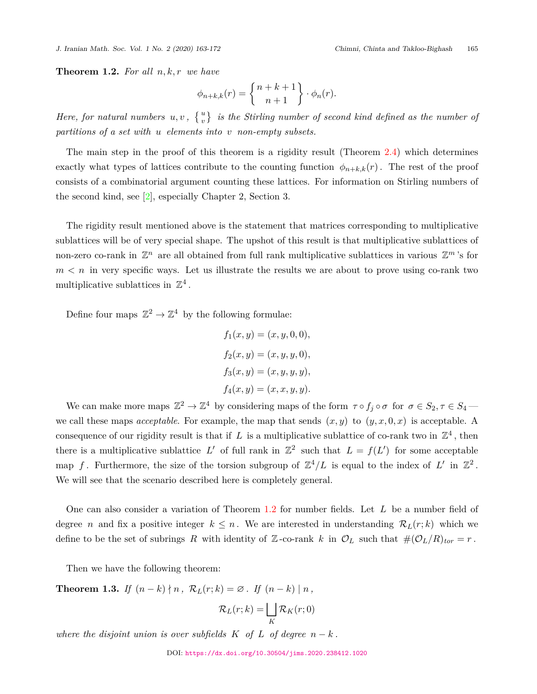*J. Iranian Math. Soc. Vol. 1 No. 2 (2020) 163-172 Chimni, Chinta and Takloo-Bighash* 165

<span id="page-2-0"></span>**Theorem 1.2.** *For all n, k, r we have*

$$
\phi_{n+k,k}(r) = \begin{Bmatrix} n+k+1 \\ n+1 \end{Bmatrix} \cdot \phi_n(r).
$$

*Here, for natural numbers*  $u, v$ ,  $\{u\atop v\}$  is the Stirling number of second kind defined as the number of *partitions of a set with u elements into v non-empty subsets.*

The main step in the proof of this theorem is a rigidity result (Theorem [2.4\)](#page-5-0) which determines exactly what types of lattices contribute to the counting function  $\phi_{n+k,k}(r)$ . The rest of the proof consists of a combinatorial argument counting these lattices. For information on Stirling numbers of the second kind, see [[2](#page-9-7)], especially Chapter 2, Section 3.

The rigidity result mentioned above is the statement that matrices corresponding to multiplicative sublattices will be of very special shape. The upshot of this result is that multiplicative sublattices of non-zero co-rank in  $\mathbb{Z}^n$  are all obtained from full rank multiplicative sublattices in various  $\mathbb{Z}^m$ 's for  $m < n$  in very specific ways. Let us illustrate the results we are about to prove using co-rank two multiplicative sublattices in  $\mathbb{Z}^4$ .

Define four maps  $\mathbb{Z}^2 \to \mathbb{Z}^4$  by the following formulae:

$$
f_1(x, y) = (x, y, 0, 0),
$$
  
\n
$$
f_2(x, y) = (x, y, y, 0),
$$
  
\n
$$
f_3(x, y) = (x, y, y, y),
$$
  
\n
$$
f_4(x, y) = (x, x, y, y).
$$

We can make more maps  $\mathbb{Z}^2 \to \mathbb{Z}^4$  by considering maps of the form  $\tau \circ f_j \circ \sigma$  for  $\sigma \in S_2, \tau \in S_4$ we call these maps *acceptable*. For example, the map that sends  $(x, y)$  to  $(y, x, 0, x)$  is acceptable. A consequence of our rigidity result is that if  $L$  is a multiplicative sublattice of co-rank two in  $\mathbb{Z}^4$ , then there is a multiplicative sublattice  $L'$  of full rank in  $\mathbb{Z}^2$  such that  $L = f(L')$  for some acceptable map f. Furthermore, the size of the torsion subgroup of  $\mathbb{Z}^4/L$  is equal to the index of  $L'$  in  $\mathbb{Z}^2$ . We will see that the scenario described here is completely general.

One can also consider a variation of Theorem [1.2](#page-2-0) for number fields. Let *L* be a number field of degree *n* and fix a positive integer  $k \leq n$ . We are interested in understanding  $\mathcal{R}_L(r;k)$  which we define to be the set of subrings *R* with identity of Z-co-rank *k* in  $\mathcal{O}_L$  such that  $\#(\mathcal{O}_L/R)_{tor} = r$ .

Then we have the following theorem:

<span id="page-2-1"></span>**Theorem 1.3.** *If*  $(n-k) \nmid n$ ,  $\mathcal{R}_L(r;k) = \emptyset$ . *If*  $(n-k) \nmid n$ ,

$$
\mathcal{R}_L(r;k) = \bigsqcup_K \mathcal{R}_K(r;0)
$$

*where the disjoint union is over subfields*  $K$  *of*  $L$  *of degree*  $n - k$ .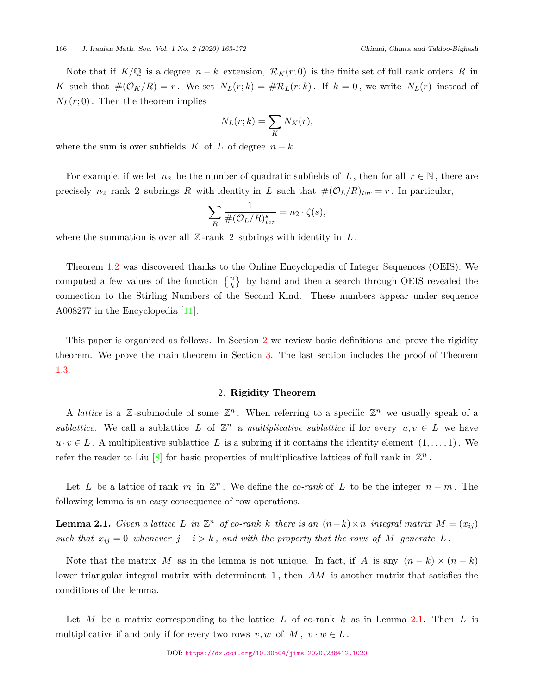Note that if  $K/\mathbb{Q}$  is a degree  $n-k$  extension,  $\mathcal{R}_K(r,0)$  is the finite set of full rank orders R in *K* such that  $\#(\mathcal{O}_K/R) = r$ . We set  $N_L(r;k) = \#R_L(r;k)$ . If  $k = 0$ , we write  $N_L(r)$  instead of  $N_L(r;0)$ . Then the theorem implies

$$
N_L(r;k) = \sum_K N_K(r),
$$

where the sum is over subfields  $K$  of  $L$  of degree  $n-k$ .

For example, if we let  $n_2$  be the number of quadratic subfields of L, then for all  $r \in \mathbb{N}$ , there are precisely  $n_2$  rank 2 subrings *R* with identity in *L* such that  $\#(\mathcal{O}_L/R)_{tor} = r$ . In particular,

$$
\sum_{R} \frac{1}{\#(\mathcal{O}_L/R)_{tor}^s} = n_2 \cdot \zeta(s),
$$

where the summation is over all  $\mathbb{Z}$ -rank 2 subrings with identity in  $L$ .

Theorem [1.2](#page-2-0) was discovered thanks to the Online Encyclopedia of Integer Sequences (OEIS). We computed a few values of the function  $\{n\}$  by hand and then a search through OEIS revealed the connection to the Stirling Numbers of the Second Kind. These numbers appear under sequence A008277 in the Encyclopedia [\[11](#page-9-8)].

This paper is organized as follows. In Section [2](#page-3-0) we review basic definitions and prove the rigidity theorem. We prove the main theorem in Section [3.](#page-5-1) The last section includes the proof of Theorem [1.3](#page-2-1).

## 2. **Rigidity Theorem**

<span id="page-3-0"></span>A *lattice* is a  $\mathbb{Z}$ -submodule of some  $\mathbb{Z}^n$ . When referring to a specific  $\mathbb{Z}^n$  we usually speak of a *sublattice*. We call a sublattice *L* of  $\mathbb{Z}^n$  a *multiplicative sublattice* if for every  $u, v \in L$  we have  $u \cdot v \in L$ . A multiplicative sublattice  $L$  is a subring if it contains the identity element  $(1, \ldots, 1)$ . We refer the reader to Liu  $[8]$  $[8]$  $[8]$  for basic properties of multiplicative lattices of full rank in  $\mathbb{Z}^n$ .

Let *L* be a lattice of rank *m* in  $\mathbb{Z}^n$ . We define the *co-rank* of *L* to be the integer  $n - m$ . The following lemma is an easy consequence of row operations.

<span id="page-3-1"></span>**Lemma 2.1.** *Given a lattice*  $L$  *in*  $\mathbb{Z}^n$  *of co-rank*  $k$  *there is an*  $(n-k) \times n$  *integral matrix*  $M = (x_{ij})$ *such that*  $x_{ij} = 0$  *whenever*  $j - i > k$ *, and with the property that the rows of M* generate *L*.

Note that the matrix *M* as in the lemma is not unique. In fact, if *A* is any  $(n-k) \times (n-k)$ lower triangular integral matrix with determinant 1, then AM is another matrix that satisfies the conditions of the lemma.

Let *M* be a matrix corresponding to the lattice *L* of co-rank *k* as in Lemma [2.1](#page-3-1). Then *L* is multiplicative if and only if for every two rows  $v, w$  of  $M, v \cdot w \in L$ .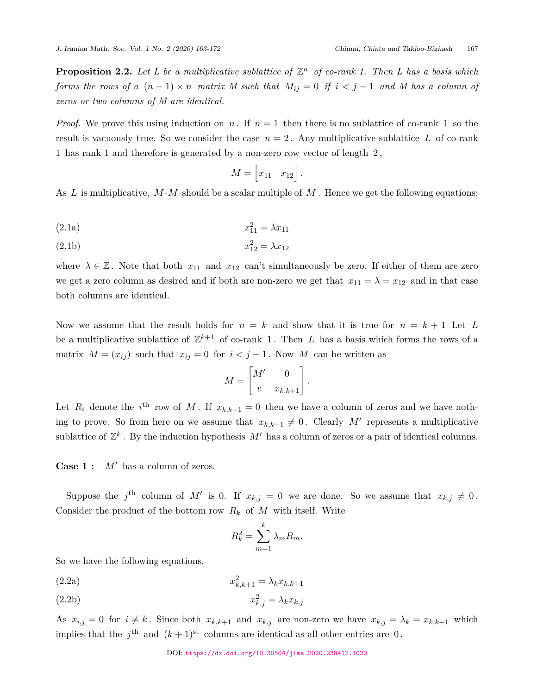**Proposition 2.2.** Let L be a multiplicative sublattice of  $\mathbb{Z}^n$  of co-rank 1. Then L has a basis which *forms the rows of a*  $(n-1) \times n$  *matrix M such that*  $M_{ij} = 0$  *if*  $i < j-1$  *and M has a column of zeros or two columns of M are identical.*

*Proof.* We prove this using induction on *n*. If  $n = 1$  then there is no sublattice of co-rank 1 so the result is vacuously true. So we consider the case  $n = 2$ . Any multiplicative sublattice L of co-rank 1 has rank 1 and therefore is generated by a non-zero row vector of length 2 ,

$$
M = \begin{bmatrix} x_{11} & x_{12} \end{bmatrix}.
$$

As  $L$  is multiplicative,  $M \cdot M$  should be a scalar multiple of  $M$ . Hence we get the following equations:

$$
(2.1a) \t\t x_{11}^2 = \lambda x_{11}
$$

$$
(2.1b) \t\t x_{12}^2 = \lambda x_{12}
$$

where  $\lambda \in \mathbb{Z}$ . Note that both  $x_{11}$  and  $x_{12}$  can't simultaneously be zero. If either of them are zero we get a zero column as desired and if both are non-zero we get that  $x_{11} = \lambda = x_{12}$  and in that case both columns are identical.

Now we assume that the result holds for  $n = k$  and show that it is true for  $n = k + 1$  Let L be a multiplicative sublattice of  $\mathbb{Z}^{k+1}$  of co-rank 1. Then *L* has a basis which forms the rows of a matrix  $M = (x_{ij})$  such that  $x_{ij} = 0$  for  $i < j - 1$ . Now M can be written as

$$
M = \begin{bmatrix} M' & 0 \\ v & x_{k,k+1} \end{bmatrix}.
$$

Let  $R_i$  denote the *i*<sup>th</sup> row of M. If  $x_{k,k+1} = 0$  then we have a column of zeros and we have nothing to prove. So from here on we assume that  $x_{k,k+1} \neq 0$ . Clearly M' represents a multiplicative sublattice of  $\mathbb{Z}^k$ . By the induction hypothesis  $M'$  has a column of zeros or a pair of identical columns.

**Case 1 :** *M′* has a column of zeros.

Suppose the  $j^{\text{th}}$  column of M' is 0. If  $x_{k,j} = 0$  we are done. So we assume that  $x_{k,j} \neq 0$ . Consider the product of the bottom row  $R_k$  of  $M$  with itself. Write

$$
R_k^2 = \sum_{m=1}^k \lambda_m R_m.
$$

So we have the following equations.

$$
(2.2a) \t\t\t x_{k,k+1}^2 = \lambda_k x_{k,k+1}
$$

$$
(2.2b) \t\t\t x_{k,j}^2 = \lambda_k x_{k,j}
$$

As  $x_{i,j} = 0$  for  $i \neq k$ . Since both  $x_{k,k+1}$  and  $x_{k,j}$  are non-zero we have  $x_{k,j} = \lambda_k = x_{k,k+1}$  which implies that the  $j^{\text{th}}$  and  $(k+1)^{\text{st}}$  columns are identical as all other entries are 0.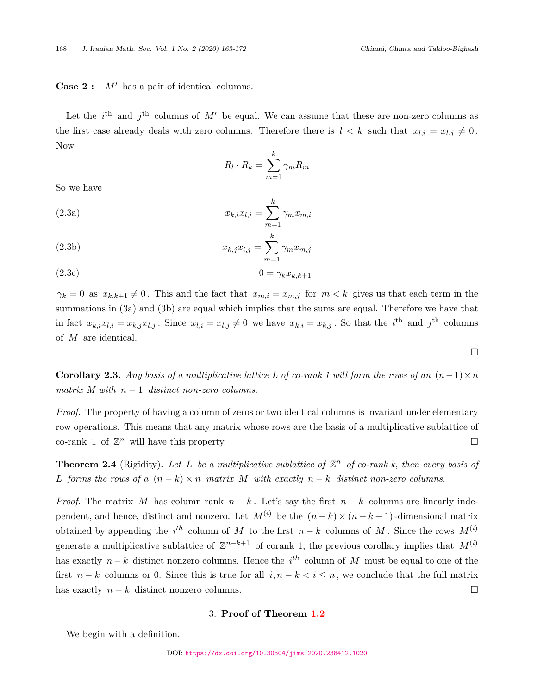# **Case 2 :** *M′* has a pair of identical columns.

Let the  $i^{\text{th}}$  and  $j^{\text{th}}$  columns of  $M'$  be equal. We can assume that these are non-zero columns as the first case already deals with zero columns. Therefore there is  $l < k$  such that  $x_{l,i} = x_{l,j} \neq 0$ . Now

$$
R_l \cdot R_k = \sum_{m=1}^k \gamma_m R_m
$$

*k*

So we have

(2.3a) 
$$
x_{k,i}x_{l,i} = \sum_{m=1}^{k} \gamma_m x_{m,i}
$$

$$
(2.3b) \t\t x_{k,j}x_{l,j} = \sum_{m=1}^{n} \gamma_m x_{m,j}
$$

$$
(2.3c) \t\t 0 = \gamma_k x_{k,k+1}
$$

 $\gamma_k = 0$  as  $x_{k,k+1} \neq 0$ . This and the fact that  $x_{m,i} = x_{m,j}$  for  $m < k$  gives us that each term in the summations in (3a) and (3b) are equal which implies that the sums are equal. Therefore we have that in fact  $x_{k,i}x_{l,i} = x_{k,j}x_{l,j}$ . Since  $x_{l,i} = x_{l,j} \neq 0$  we have  $x_{k,i} = x_{k,j}$ . So that the *i*<sup>th</sup> and *j*<sup>th</sup> columns of *M* are identical.

**Corollary 2.3.** *Any basis of a multiplicative lattice L of co-rank 1 will form the rows of an*  $(n-1) \times n$ *matrix M with*  $n-1$  *distinct non-zero columns.* 

*Proof.* The property of having a column of zeros or two identical columns is invariant under elementary row operations. This means that any matrix whose rows are the basis of a multiplicative sublattice of co-rank 1 of  $\mathbb{Z}^n$  will have this property.  $\Box$ 

<span id="page-5-0"></span>**Theorem 2.4** (Rigidity). Let L be a multiplicative sublattice of  $\mathbb{Z}^n$  of co-rank k, then every basis of *L forms the rows of a*  $(n-k) \times n$  *matrix M with exactly*  $n-k$  *distinct non-zero columns.* 

*Proof.* The matrix *M* has column rank  $n-k$ . Let's say the first  $n-k$  columns are linearly independent, and hence, distinct and nonzero. Let  $M^{(i)}$  be the  $(n-k) \times (n-k+1)$ -dimensional matrix obtained by appending the  $i^{th}$  column of *M* to the first  $n-k$  columns of *M*. Since the rows  $M^{(i)}$ generate a multiplicative sublattice of  $\mathbb{Z}^{n-k+1}$  of corank 1, the previous corollary implies that  $M^{(i)}$ has exactly *n − k* distinct nonzero columns. Hence the *i th* column of *M* must be equal to one of the first  $n-k$  columns or 0. Since this is true for all  $i, n-k < i \leq n$ , we conclude that the full matrix has exactly  $n - k$  distinct nonzero columns. □

# 3. **Proof of Theorem [1.2](#page-2-0)**

<span id="page-5-1"></span>We begin with a definition.

□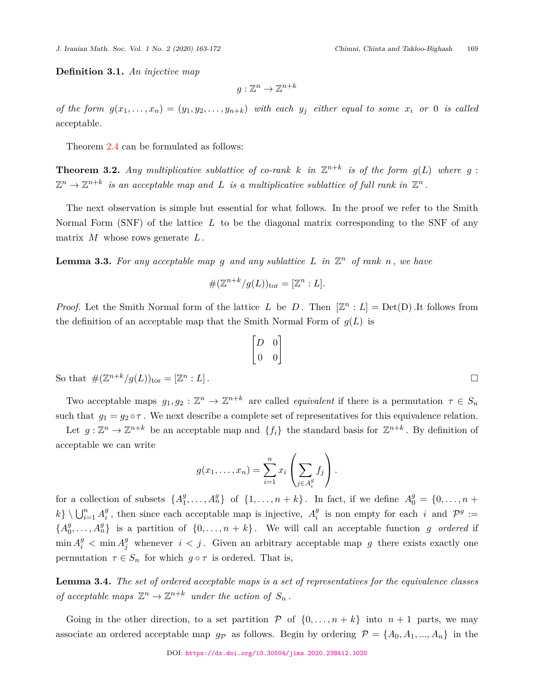**Definition 3.1.** *An injective map*

$$
g:\mathbb{Z}^n\to\mathbb{Z}^{n+k}
$$

of the form  $g(x_1,...,x_n) = (y_1,y_2,...,y_{n+k})$  with each  $y_j$  either equal to some  $x_i$  or 0 is called acceptable*.*

Theorem [2.4](#page-5-0) can be formulated as follows:

<span id="page-6-0"></span>**Theorem 3.2.** Any multiplicative sublattice of co-rank  $k$  in  $\mathbb{Z}^{n+k}$  is of the form  $g(L)$  where  $g$ :  $\mathbb{Z}^n \to \mathbb{Z}^{n+k}$  *is an acceptable map and L is a multiplicative sublattice of full rank in*  $\mathbb{Z}^n$ .

The next observation is simple but essential for what follows. In the proof we refer to the Smith Normal Form (SNF) of the lattice *L* to be the diagonal matrix corresponding to the SNF of any matrix *M* whose rows generate *L*.

**Lemma 3.3.** For any acceptable map g and any sublattice L in  $\mathbb{Z}^n$  of rank n, we have

$$
\#(\mathbb{Z}^{n+k}/g(L))_{\text{tor}}=[\mathbb{Z}^n:L].
$$

*Proof.* Let the Smith Normal form of the lattice *L* be *D*. Then  $[\mathbb{Z}^n : L] = Det(D)$ . It follows from the definition of an acceptable map that the Smith Normal Form of  $g(L)$  is

 $\begin{bmatrix} D & 0 \\ 0 & 0 \end{bmatrix}$ 

So that 
$$
\#(\mathbb{Z}^{n+k}/g(L))_{\text{tor}} = [\mathbb{Z}^n : L].
$$

Two acceptable maps  $g_1, g_2 : \mathbb{Z}^n \to \mathbb{Z}^{n+k}$  are called *equivalent* if there is a permutation  $\tau \in S_n$ such that  $g_1 = g_2 \circ \tau$ . We next describe a complete set of representatives for this equivalence relation.

Let  $g: \mathbb{Z}^n \to \mathbb{Z}^{n+k}$  be an acceptable map and  $\{f_i\}$  the standard basis for  $\mathbb{Z}^{n+k}$ . By definition of acceptable we can write

$$
g(x_1,\ldots,x_n)=\sum_{i=1}^n x_i\left(\sum_{j\in A_i^g}f_j\right).
$$

for a collection of subsets  ${A}^g_1$  $\{A_1^g, \ldots, A_n^g\}$  of  $\{1, \ldots, n+k\}$ . In fact, if we define  $A_0^g = \{0, \ldots, n+k\}$  $k$ *}*  $\bigcup_{i=1}^{n} A_i^g$  $\frac{g}{i}$ , then since each acceptable map is injective,  $A_i^g$  $i$ <sup>*g*</sup> is non empty for each *i* and  $\mathcal{P}^g :=$ *{A g*  $\{0, \ldots, n+k\}$  is a partition of  $\{0, \ldots, n+k\}$ . We will call an acceptable function *g ordered* if  $\min A_i^g$   $\lt$   $\min A_j^g$  whenever  $i < j$ . Given an arbitrary acceptable map g there exists exactly one permutation  $\tau \in S_n$  for which  $g \circ \tau$  is ordered. That is,

**Lemma 3.4.** *The set of ordered acceptable maps is a set of representatives for the equivalence classes of acceptable maps*  $\mathbb{Z}^n \to \mathbb{Z}^{n+k}$  *under the action of*  $S_n$ .

Going in the other direction, to a set partition  $P$  of  $\{0, \ldots, n+k\}$  into  $n+1$  parts, we may associate an ordered acceptable map  $g_p$  as follows. Begin by ordering  $P = \{A_0, A_1, ..., A_n\}$  in the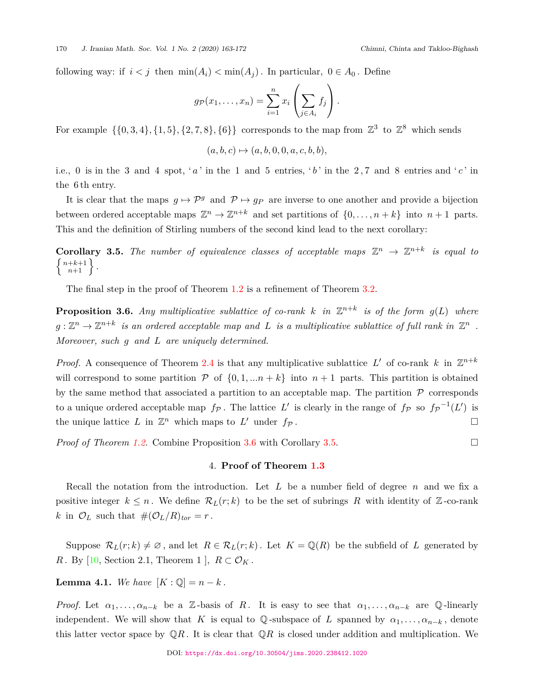following way: if  $i < j$  then  $\min(A_i) < \min(A_j)$ . In particular,  $0 \in A_0$ . Define

$$
g_{\mathcal{P}}(x_1,\ldots,x_n)=\sum_{i=1}^n x_i\left(\sum_{j\in A_i}f_j\right).
$$

For example  $\{\{0,3,4\},\{1,5\},\{2,7,8\},\{6\}\}\)$  corresponds to the map from  $\mathbb{Z}^3$  to  $\mathbb{Z}^8$  which sends

$$
(a, b, c) \mapsto (a, b, 0, 0, a, c, b, b),
$$

i.e., 0 is in the 3 and 4 spot, 'a' in the 1 and 5 entries, 'b' in the 2,7 and 8 entries and 'c' in the 6 th entry.

It is clear that the maps  $g \mapsto \mathcal{P}^g$  and  $\mathcal{P} \mapsto g_P$  are inverse to one another and provide a bijection between ordered acceptable maps  $\mathbb{Z}^n \to \mathbb{Z}^{n+k}$  and set partitions of  $\{0, \ldots, n+k\}$  into  $n+1$  parts. This and the definition of Stirling numbers of the second kind lead to the next corollary:

<span id="page-7-1"></span>**Corollary 3.5.** The number of equivalence classes of acceptable maps  $\mathbb{Z}^n \to \mathbb{Z}^{n+k}$  is equal to  $\left\{\n \begin{array}{c}\n n+k+1 \\
n+1\n \end{array}\n \right\}$ *.*

The final step in the proof of Theorem [1.2](#page-2-0) is a refinement of Theorem [3.2](#page-6-0).

<span id="page-7-0"></span>**Proposition 3.6.** Any multiplicative sublattice of co-rank  $k$  in  $\mathbb{Z}^{n+k}$  is of the form  $g(L)$  where  $g: \mathbb{Z}^n \to \mathbb{Z}^{n+k}$  is an ordered acceptable map and L is a multiplicative sublattice of full rank in  $\mathbb{Z}^n$ . *Moreover, such g and L are uniquely determined.*

*Proof.* A consequence of Theorem [2.4](#page-5-0) is that any multiplicative sublattice  $L'$  of co-rank  $k$  in  $\mathbb{Z}^{n+k}$ will correspond to some partition  $P$  of  $\{0, 1, \ldots n + k\}$  into  $n + 1$  parts. This partition is obtained by the same method that associated a partition to an acceptable map. The partition  $P$  corresponds to a unique ordered acceptable map  $f_{\mathcal{P}}$ . The lattice  $L'$  is clearly in the range of  $f_{\mathcal{P}}$  so  $f_{\mathcal{P}}^{-1}(L')$  is the unique lattice  $L$  in  $\mathbb{Z}^n$  which maps to  $L'$  under  $f_{\mathcal{P}}$ .

<span id="page-7-2"></span>*Proof of Theorem [1.2](#page-2-0).* Combine Proposition [3.6](#page-7-0) with Corollary [3.5.](#page-7-1) □

# 4. **Proof of Theorem [1.3](#page-2-1)**

Recall the notation from the introduction. Let *L* be a number field of degree *n* and we fix a positive integer  $k \leq n$ . We define  $\mathcal{R}_L(r;k)$  to be the set of subrings R with identity of Z-co-rank *k* in  $\mathcal{O}_L$  such that  $\#(\mathcal{O}_L/R)_{tor} = r$ .

Suppose  $\mathcal{R}_L(r;k) \neq \emptyset$ , and let  $R \in \mathcal{R}_L(r;k)$ . Let  $K = \mathbb{Q}(R)$  be the subfield of L generated by *R*. By [[10,](#page-9-9) Section 2.1, Theorem 1 ],  $R \subset \mathcal{O}_K$ .

**Lemma 4.1.** *We have*  $[K : \mathbb{Q}] = n - k$ .

*Proof.* Let  $\alpha_1, \ldots, \alpha_{n-k}$  be a Z-basis of R. It is easy to see that  $\alpha_1, \ldots, \alpha_{n-k}$  are Q-linearly independent. We will show that *K* is equal to Q-subspace of *L* spanned by  $\alpha_1, \ldots, \alpha_{n-k}$ , denote this latter vector space by  $\mathbb{Q}R$ . It is clear that  $\mathbb{Q}R$  is closed under addition and multiplication. We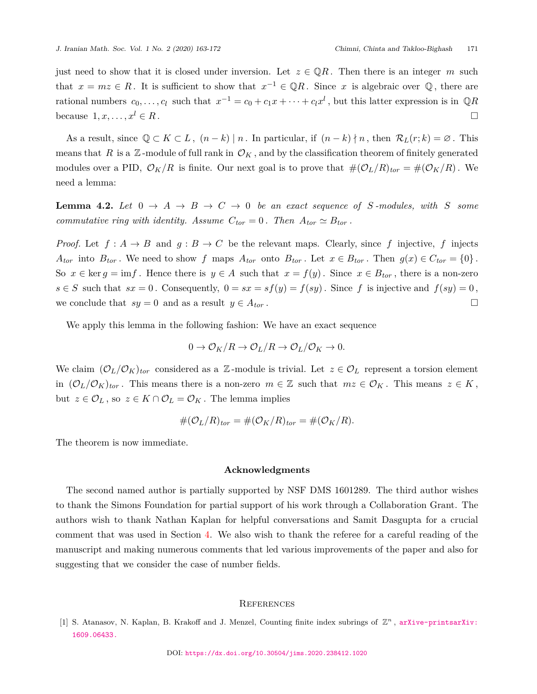just need to show that it is closed under inversion. Let  $z \in \mathbb{Q}R$ . Then there is an integer *m* such that  $x = mz \in R$ . It is sufficient to show that  $x^{-1} \in \mathbb{Q}R$ . Since x is algebraic over  $\mathbb{Q}$ , there are rational numbers  $c_0, \ldots, c_l$  such that  $x^{-1} = c_0 + c_1 x + \cdots + c_l x^l$ , but this latter expression is in  $\mathbb{Q}R$ because  $1, x, \ldots, x^l \in R$ .

As a result, since  $\mathbb{Q} \subset K \subset L$ ,  $(n-k) | n$ . In particular, if  $(n-k) | n$ , then  $\mathcal{R}_L(r;k) = \emptyset$ . This means that *R* is a  $\mathbb{Z}$ -module of full rank in  $\mathcal{O}_K$ , and by the classification theorem of finitely generated modules over a PID,  $\mathcal{O}_K/R$  is finite. Our next goal is to prove that  $\#(\mathcal{O}_L/R)_{tor} = \#(\mathcal{O}_K/R)$ . We need a lemma:

**Lemma 4.2.** Let  $0 \rightarrow A \rightarrow B \rightarrow C \rightarrow 0$  be an exact sequence of S-modules, with S some *commutative ring with identity. Assume*  $C_{tor} = 0$ *. Then*  $A_{tor} \simeq B_{tor}$ *.* 

*Proof.* Let  $f: A \to B$  and  $g: B \to C$  be the relevant maps. Clearly, since f injective, f injects  $A_{tor}$  into  $B_{tor}$ . We need to show f maps  $A_{tor}$  onto  $B_{tor}$ . Let  $x \in B_{tor}$ . Then  $g(x) \in C_{tor} = \{0\}$ . So  $x \in \text{ker } g = \text{im } f$ . Hence there is  $y \in A$  such that  $x = f(y)$ . Since  $x \in B_{tor}$ , there is a non-zero  $s \in S$  such that  $sx = 0$ . Consequently,  $0 = sx = sf(y) = f(sy)$ . Since f is injective and  $f(sy) = 0$ , we conclude that  $sy = 0$  and as a result  $y \in A_{tor}$ .

We apply this lemma in the following fashion: We have an exact sequence

$$
0 \to \mathcal{O}_K/R \to \mathcal{O}_L/R \to \mathcal{O}_L/\mathcal{O}_K \to 0.
$$

We claim  $(\mathcal{O}_L/\mathcal{O}_K)_{tor}$  considered as a Z-module is trivial. Let  $z \in \mathcal{O}_L$  represent a torsion element in  $(\mathcal{O}_L/\mathcal{O}_K)_{tor}$ . This means there is a non-zero  $m \in \mathbb{Z}$  such that  $mz \in \mathcal{O}_K$ . This means  $z \in K$ , but  $z \in \mathcal{O}_L$ , so  $z \in K \cap \mathcal{O}_L = \mathcal{O}_K$ . The lemma implies

$$
\#(\mathcal{O}_L/R)_{tor} = \#(\mathcal{O}_K/R)_{tor} = \#(\mathcal{O}_K/R).
$$

The theorem is now immediate.

#### **Acknowledgments**

The second named author is partially supported by NSF DMS 1601289. The third author wishes to thank the Simons Foundation for partial support of his work through a Collaboration Grant. The authors wish to thank Nathan Kaplan for helpful conversations and Samit Dasgupta for a crucial comment that was used in Section [4](#page-7-2). We also wish to thank the referee for a careful reading of the manuscript and making numerous comments that led various improvements of the paper and also for suggesting that we consider the case of number fields.

#### **REFERENCES**

<span id="page-8-0"></span>[1] S. Atanasov, N. Kaplan, B. Krakoff and J. Menzel, Counting finite index subrings of  $\mathbb{Z}^n$ , [arXive-printsarXiv:]( arXiv e-prints arXiv:1609.06433.) [1609.06433.]( arXiv e-prints arXiv:1609.06433.)